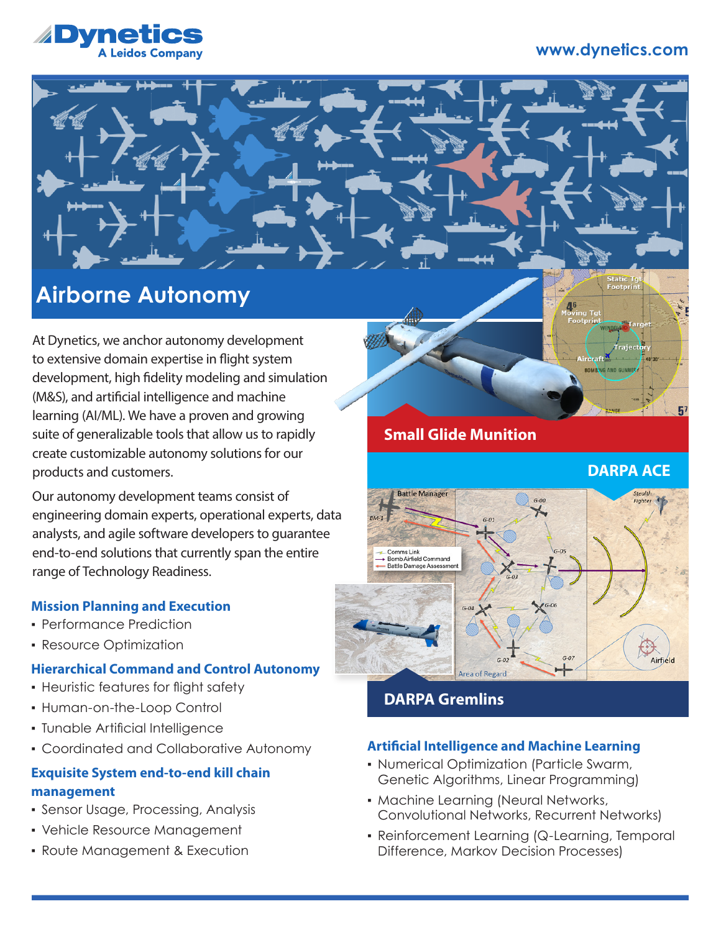# **www.dynetics.com**



# **Airborne Autonomy**

At Dynetics, we anchor autonomy development to extensive domain expertise in flight system development, high fidelity modeling and simulation (M&S), and artificial intelligence and machine learning (AI/ML). We have a proven and growing suite of generalizable tools that allow us to rapidly create customizable autonomy solutions for our products and customers.

Our autonomy development teams consist of engineering domain experts, operational experts, data analysts, and agile software developers to guarantee end-to-end solutions that currently span the entire range of Technology Readiness.

## **Mission Planning and Execution**

- **Performance Prediction**
- **Resource Optimization**

## **Hierarchical Command and Control Autonomy**

- **Heuristic features for flight safety**
- Human-on-the-Loop Control
- Tunable Artificial Intelligence
- Coordinated and Collaborative Autonomy

# **Exquisite System end-to-end kill chain management**

- Sensor Usage, Processing, Analysis
- Vehicle Resource Management
- Route Management & Execution

# **Small Glide Munition**

**DARPA ACE**

tatic Tgl<br>ootprint



# **DARPA Gremlins**

## **Artificial Intelligence and Machine Learning**

- Numerical Optimization (Particle Swarm, Genetic Algorithms, Linear Programming)
- **Machine Learning (Neural Networks,** Convolutional Networks, Recurrent Networks)
- Reinforcement Learning (Q-Learning, Temporal Difference, Markov Decision Processes)